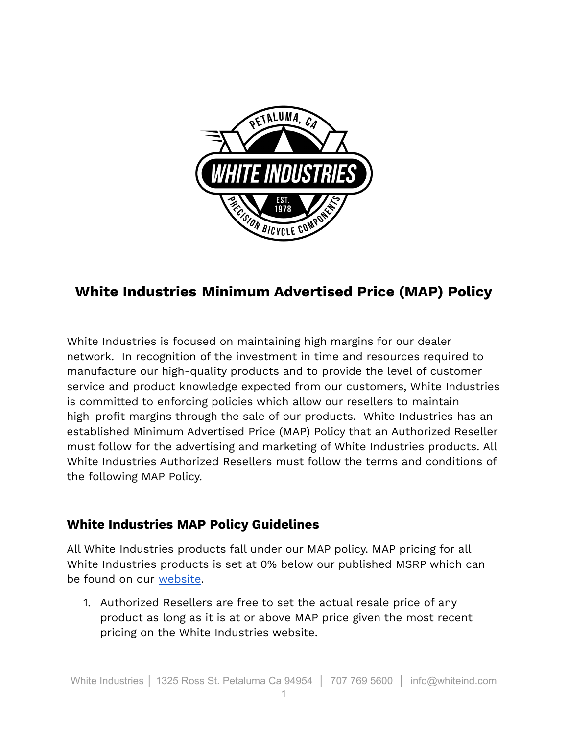

## **White Industries Minimum Advertised Price (MAP) Policy**

White Industries is focused on maintaining high margins for our dealer network. In recognition of the investment in time and resources required to manufacture our high-quality products and to provide the level of customer service and product knowledge expected from our customers, White Industries is committed to enforcing policies which allow our resellers to maintain high-profit margins through the sale of our products. White Industries has an established Minimum Advertised Price (MAP) Policy that an Authorized Reseller must follow for the advertising and marketing of White Industries products. All White Industries Authorized Resellers must follow the terms and conditions of the following MAP Policy.

## **White Industries MAP Policy Guidelines**

All White Industries products fall under our MAP policy. MAP pricing for all White Industries products is set at 0% below our published MSRP which can be found on our [website.](http://www.whiteind.com/)

1. Authorized Resellers are free to set the actual resale price of any product as long as it is at or above MAP price given the most recent pricing on the White Industries website.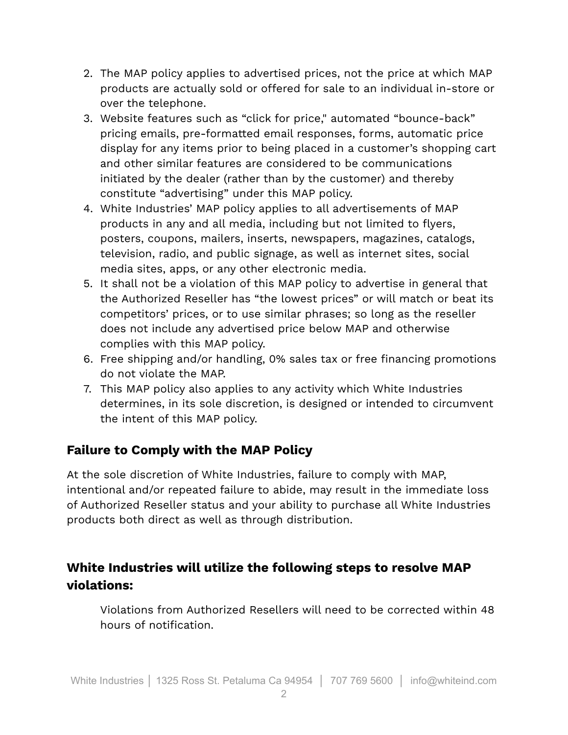- 2. The MAP policy applies to advertised prices, not the price at which MAP products are actually sold or offered for sale to an individual in-store or over the telephone.
- 3. Website features such as "click for price," automated "bounce-back" pricing emails, pre-formatted email responses, forms, automatic price display for any items prior to being placed in a customer's shopping cart and other similar features are considered to be communications initiated by the dealer (rather than by the customer) and thereby constitute "advertising" under this MAP policy.
- 4. White Industries' MAP policy applies to all advertisements of MAP products in any and all media, including but not limited to flyers, posters, coupons, mailers, inserts, newspapers, magazines, catalogs, television, radio, and public signage, as well as internet sites, social media sites, apps, or any other electronic media.
- 5. It shall not be a violation of this MAP policy to advertise in general that the Authorized Reseller has "the lowest prices" or will match or beat its competitors' prices, or to use similar phrases; so long as the reseller does not include any advertised price below MAP and otherwise complies with this MAP policy.
- 6. Free shipping and/or handling, 0% sales tax or free financing promotions do not violate the MAP.
- 7. This MAP policy also applies to any activity which White Industries determines, in its sole discretion, is designed or intended to circumvent the intent of this MAP policy.

## **Failure to Comply with the MAP Policy**

At the sole discretion of White Industries, failure to comply with MAP, intentional and/or repeated failure to abide, may result in the immediate loss of Authorized Reseller status and your ability to purchase all White Industries products both direct as well as through distribution.

## **White Industries will utilize the following steps to resolve MAP violations:**

Violations from Authorized Resellers will need to be corrected within 48 hours of notification.